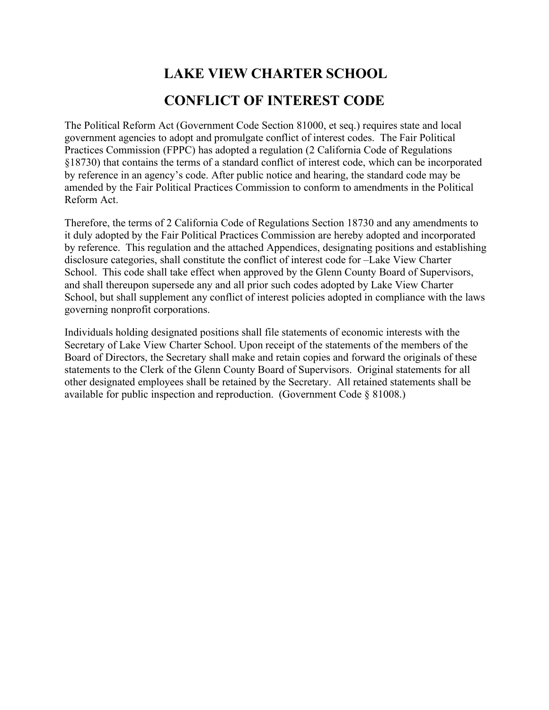# **LAKE VIEW CHARTER SCHOOL CONFLICT OF INTEREST CODE**

The Political Reform Act (Government Code Section 81000, et seq.) requires state and local government agencies to adopt and promulgate conflict of interest codes. The Fair Political Practices Commission (FPPC) has adopted a regulation (2 California Code of Regulations §18730) that contains the terms of a standard conflict of interest code, which can be incorporated by reference in an agency's code. After public notice and hearing, the standard code may be amended by the Fair Political Practices Commission to conform to amendments in the Political Reform Act.

Therefore, the terms of 2 California Code of Regulations Section 18730 and any amendments to it duly adopted by the Fair Political Practices Commission are hereby adopted and incorporated by reference. This regulation and the attached Appendices, designating positions and establishing disclosure categories, shall constitute the conflict of interest code for –Lake View Charter School. This code shall take effect when approved by the Glenn County Board of Supervisors, and shall thereupon supersede any and all prior such codes adopted by Lake View Charter School, but shall supplement any conflict of interest policies adopted in compliance with the laws governing nonprofit corporations.

Individuals holding designated positions shall file statements of economic interests with the Secretary of Lake View Charter School. Upon receipt of the statements of the members of the Board of Directors, the Secretary shall make and retain copies and forward the originals of these statements to the Clerk of the Glenn County Board of Supervisors. Original statements for all other designated employees shall be retained by the Secretary. All retained statements shall be available for public inspection and reproduction. (Government Code § 81008.)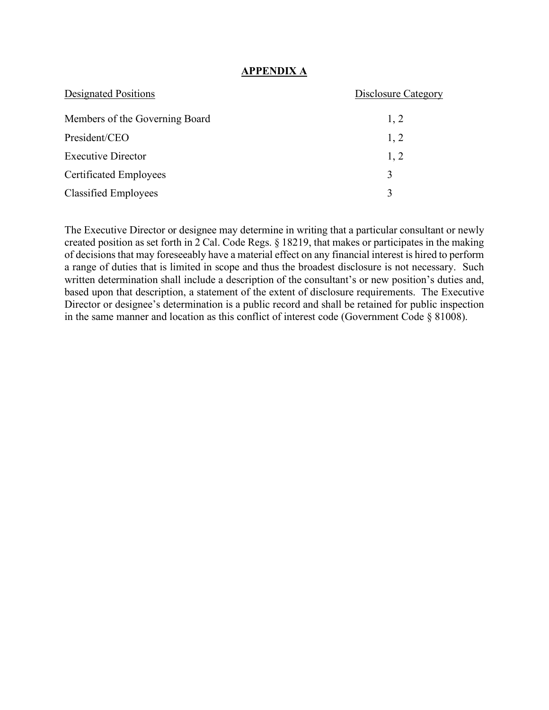## **APPENDIX A**

| <b>Designated Positions</b>    | Disclosure Category |
|--------------------------------|---------------------|
| Members of the Governing Board | 1, 2                |
| President/CEO                  | 1, 2                |
| <b>Executive Director</b>      | 1, 2                |
| <b>Certificated Employees</b>  | 3                   |
| <b>Classified Employees</b>    | 3                   |

The Executive Director or designee may determine in writing that a particular consultant or newly created position as set forth in 2 Cal. Code Regs. § 18219, that makes or participates in the making of decisions that may foreseeably have a material effect on any financial interest is hired to perform a range of duties that is limited in scope and thus the broadest disclosure is not necessary. Such written determination shall include a description of the consultant's or new position's duties and, based upon that description, a statement of the extent of disclosure requirements. The Executive Director or designee's determination is a public record and shall be retained for public inspection in the same manner and location as this conflict of interest code (Government Code § 81008).